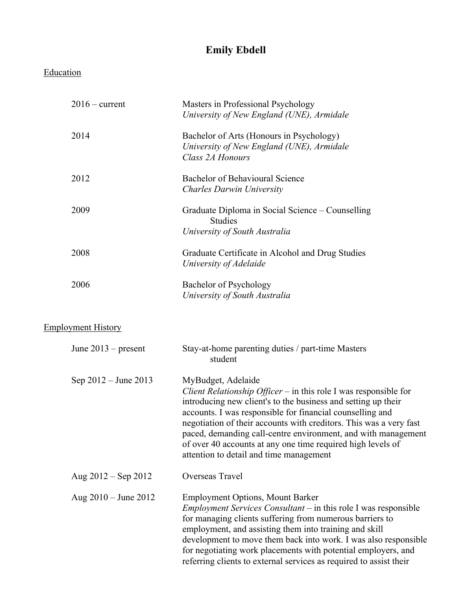## **Emily Ebdell**

| Education                 |                                                                                                                                                                                                                                                                                                                                                                                                                                                                       |
|---------------------------|-----------------------------------------------------------------------------------------------------------------------------------------------------------------------------------------------------------------------------------------------------------------------------------------------------------------------------------------------------------------------------------------------------------------------------------------------------------------------|
| $2016$ – current          | Masters in Professional Psychology<br>University of New England (UNE), Armidale                                                                                                                                                                                                                                                                                                                                                                                       |
| 2014                      | Bachelor of Arts (Honours in Psychology)<br>University of New England (UNE), Armidale<br>Class 2A Honours                                                                                                                                                                                                                                                                                                                                                             |
| 2012                      | <b>Bachelor of Behavioural Science</b><br><b>Charles Darwin University</b>                                                                                                                                                                                                                                                                                                                                                                                            |
| 2009                      | Graduate Diploma in Social Science – Counselling<br><b>Studies</b><br>University of South Australia                                                                                                                                                                                                                                                                                                                                                                   |
| 2008                      | Graduate Certificate in Alcohol and Drug Studies<br>University of Adelaide                                                                                                                                                                                                                                                                                                                                                                                            |
| 2006                      | Bachelor of Psychology<br>University of South Australia                                                                                                                                                                                                                                                                                                                                                                                                               |
| <b>Employment History</b> |                                                                                                                                                                                                                                                                                                                                                                                                                                                                       |
| June $2013$ – present     | Stay-at-home parenting duties / part-time Masters<br>student                                                                                                                                                                                                                                                                                                                                                                                                          |
| Sep 2012 – June 2013      | MyBudget, Adelaide<br>Client Relationship Officer – in this role I was responsible for<br>introducing new client's to the business and setting up their<br>accounts. I was responsible for financial counselling and<br>negotiation of their accounts with creditors. This was a very fast<br>paced, demanding call-centre environment, and with management<br>of over 40 accounts at any one time required high levels of<br>attention to detail and time management |
| Aug $2012 -$ Sep 2012     | Overseas Travel                                                                                                                                                                                                                                                                                                                                                                                                                                                       |
| Aug $2010 -$ June 2012    | <b>Employment Options, Mount Barker</b><br><i>Employment Services Consultant</i> $-$ in this role I was responsible<br>for managing clients suffering from numerous barriers to<br>employment, and assisting them into training and skill<br>development to move them back into work. I was also responsible<br>for negotiating work placements with potential employers, and<br>referring clients to external services as required to assist their                   |